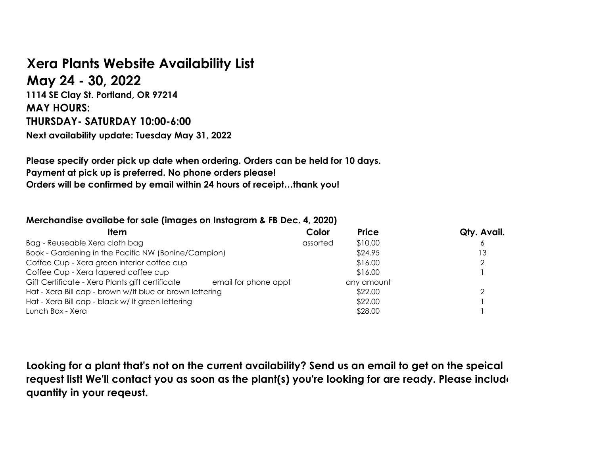## **Xera Plants Website Availability List**

**May 24 - 30, 2022**

**1114 SE Clay St. Portland, OR 97214 MAY HOURS: THURSDAY- SATURDAY 10:00-6:00 Next availability update: Tuesday May 31, 2022**

**Please specify order pick up date when ordering. Orders can be held for 10 days. Payment at pick up is preferred. No phone orders please! Orders will be confirmed by email within 24 hours of receipt…thank you!**

## **Merchandise availabe for sale (images on Instagram & FB Dec. 4, 2020)**

| ltem                                                                    | Color    | <b>Price</b> | Qty. Avail. |
|-------------------------------------------------------------------------|----------|--------------|-------------|
| Bag - Reuseable Xera cloth bag                                          | assorted | \$10.00      |             |
| Book - Gardening in the Pacific NW (Bonine/Campion)                     |          | \$24.95      | 13          |
| Coffee Cup - Xera green interior coffee cup                             |          | \$16.00      |             |
| Coffee Cup - Xera tapered coffee cup                                    |          | \$16.00      |             |
| Gift Certificate - Xera Plants gift certificate<br>email for phone appt |          | any amount   |             |
| Hat - Xera Bill cap - brown w/lt blue or brown lettering                |          | \$22.00      |             |
| Hat - Xera Bill cap - black w/ It green lettering                       |          | \$22.00      |             |
| Lunch Box - Xera                                                        |          | \$28.00      |             |

**Looking for a plant that's not on the current availability? Send us an email to get on the speical request list! We'll contact you as soon as the plant(s) you're looking for are ready. Please include quantity in your reqeust.**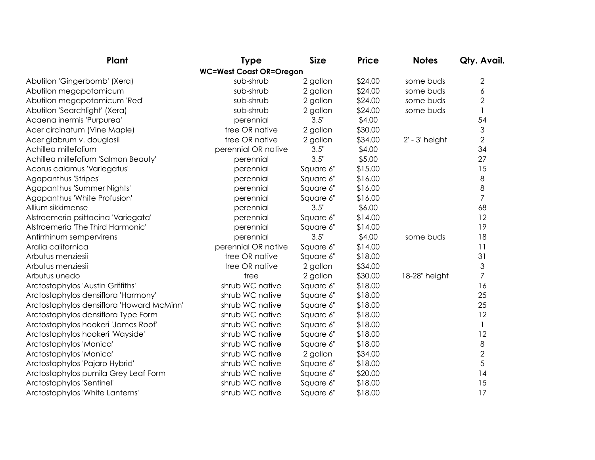| Plant                                     | <b>Type</b>                    | <b>Size</b> | <b>Price</b> | <b>Notes</b>       | Qty. Avail.    |
|-------------------------------------------|--------------------------------|-------------|--------------|--------------------|----------------|
|                                           | <b>WC=West Coast OR=Oregon</b> |             |              |                    |                |
| Abutilon 'Gingerbomb' (Xera)              | sub-shrub                      | 2 gallon    | \$24.00      | some buds          | $\mathbf{2}$   |
| Abutilon megapotamicum                    | sub-shrub                      | 2 gallon    | \$24.00      | some buds          | 6              |
| Abutilon megapotamicum 'Red'              | sub-shrub                      | 2 gallon    | \$24.00      | some buds          | $\overline{2}$ |
| Abutilon 'Searchlight' (Xera)             | sub-shrub                      | 2 gallon    | \$24.00      | some buds          |                |
| Acaena inermis 'Purpurea'                 | perennial                      | 3.5"        | \$4.00       |                    | 54             |
| Acer circinatum (Vine Maple)              | tree OR native                 | 2 gallon    | \$30.00      |                    | 3              |
| Acer glabrum v. douglasii                 | tree OR native                 | 2 gallon    | \$34.00      | $2'$ - $3'$ height | $\overline{2}$ |
| Achillea millefolium                      | perennial OR native            | 3.5"        | \$4.00       |                    | 34             |
| Achillea millefolium 'Salmon Beauty'      | perennial                      | 3.5"        | \$5.00       |                    | 27             |
| Acorus calamus 'Variegatus'               | perennial                      | Square 6"   | \$15.00      |                    | 15             |
| Agapanthus 'Stripes'                      | perennial                      | Square 6"   | \$16.00      |                    | 8              |
| Agapanthus 'Summer Nights'                | perennial                      | Square 6"   | \$16.00      |                    | 8              |
| Agapanthus 'White Profusion'              | perennial                      | Square 6"   | \$16.00      |                    | $\overline{7}$ |
| Allium sikkimense                         | perennial                      | 3.5"        | \$6.00       |                    | 68             |
| Alstroemeria psittacina 'Variegata'       | perennial                      | Square 6"   | \$14.00      |                    | 12             |
| Alstroemeria 'The Third Harmonic'         | perennial                      | Square 6"   | \$14.00      |                    | 19             |
| Antirrhinum sempervirens                  | perennial                      | 3.5"        | \$4.00       | some buds          | 18             |
| Aralia californica                        | perennial OR native            | Square 6"   | \$14.00      |                    | 11             |
| Arbutus menziesii                         | tree OR native                 | Square 6"   | \$18.00      |                    | 31             |
| Arbutus menziesii                         | tree OR native                 | 2 gallon    | \$34.00      |                    | 3              |
| Arbutus unedo                             | tree                           | 2 gallon    | \$30.00      | 18-28" height      | $\overline{7}$ |
| Arctostaphylos 'Austin Griffiths'         | shrub WC native                | Square 6"   | \$18.00      |                    | 16             |
| Arctostaphylos densiflora 'Harmony'       | shrub WC native                | Square 6"   | \$18.00      |                    | 25             |
| Arctostaphylos densiflora 'Howard McMinn' | shrub WC native                | Square 6"   | \$18.00      |                    | 25             |
| Arctostaphylos densiflora Type Form       | shrub WC native                | Square 6"   | \$18.00      |                    | 12             |
| Arctostaphylos hookeri 'James Roof'       | shrub WC native                | Square 6"   | \$18.00      |                    | $\mathbf{1}$   |
| Arctostaphylos hookeri 'Wayside'          | shrub WC native                | Square 6"   | \$18.00      |                    | 12             |
| Arctostaphylos 'Monica'                   | shrub WC native                | Square 6"   | \$18.00      |                    | 8              |
| Arctostaphylos 'Monica'                   | shrub WC native                | 2 gallon    | \$34.00      |                    | $\overline{2}$ |
| Arctostaphylos 'Pajaro Hybrid'            | shrub WC native                | Square 6"   | \$18.00      |                    | 5              |
| Arctostaphylos pumila Grey Leaf Form      | shrub WC native                | Square 6"   | \$20.00      |                    | 14             |
| Arctostaphylos 'Sentinel'                 | shrub WC native                | Square 6"   | \$18.00      |                    | 15             |
| Arctostaphylos 'White Lanterns'           | shrub WC native                | Square 6"   | \$18.00      |                    | 17             |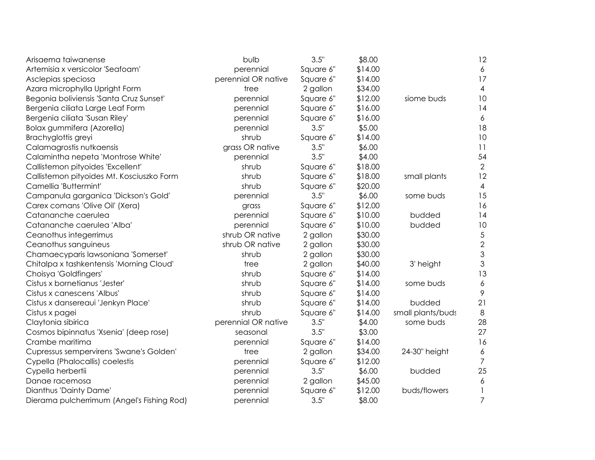| Arisaema taiwanense                        | bulb                | 3.5"      | \$8.00  |                   | 12                       |
|--------------------------------------------|---------------------|-----------|---------|-------------------|--------------------------|
| Artemisia x versicolor 'Seafoam'           | perennial           | Square 6" | \$14.00 |                   | 6                        |
| Asclepias speciosa                         | perennial OR native | Square 6" | \$14.00 |                   | 17                       |
| Azara microphylla Upright Form             | tree                | 2 gallon  | \$34.00 |                   | $\overline{\mathcal{A}}$ |
| Begonia boliviensis 'Santa Cruz Sunset'    | perennial           | Square 6" | \$12.00 | siome buds        | 10                       |
| Bergenia ciliata Large Leaf Form           | perennial           | Square 6" | \$16.00 |                   | 14                       |
| Bergenia ciliata 'Susan Riley'             | perennial           | Square 6" | \$16.00 |                   | 6                        |
| Bolax gummifera (Azorella)                 | perennial           | 3.5"      | \$5.00  |                   | 18                       |
| Brachyglottis greyi                        | shrub               | Square 6" | \$14.00 |                   | 10                       |
| Calamagrostis nutkaensis                   | grass OR native     | 3.5"      | \$6.00  |                   | 11                       |
| Calamintha nepeta 'Montrose White'         | perennial           | 3.5"      | \$4.00  |                   | 54                       |
| Callistemon pityoides 'Excellent'          | shrub               | Square 6" | \$18.00 |                   | $\overline{2}$           |
| Callistemon pityoides Mt. Kosciuszko Form  | shrub               | Square 6" | \$18.00 | small plants      | 12                       |
| Camellia 'Buttermint'                      | shrub               | Square 6" | \$20.00 |                   | $\overline{4}$           |
| Campanula garganica 'Dickson's Gold'       | perennial           | 3.5"      | \$6.00  | some buds         | 15                       |
| Carex comans 'Olive Oil' (Xera)            | grass               | Square 6" | \$12.00 |                   | 16                       |
| Catananche caerulea                        | perennial           | Square 6" | \$10.00 | budded            | 14                       |
| Catananche caerulea 'Alba                  | perennial           | Square 6" | \$10.00 | budded            | 10                       |
| Ceanothus integerrimus                     | shrub OR native     | 2 gallon  | \$30.00 |                   | $\sqrt{5}$               |
| Ceanothus sanguineus                       | shrub OR native     | 2 gallon  | \$30.00 |                   | $\mathbf{2}$             |
| Chamaecyparis lawsoniana 'Somerset'        | shrub               | 2 gallon  | \$30.00 |                   | $\mathfrak{S}$           |
| Chitalpa x tashkentensis 'Morning Cloud'   | tree                | 2 gallon  | \$40.00 | 3' height         | 3                        |
| Choisya 'Goldfingers'                      | shrub               | Square 6" | \$14.00 |                   | 13                       |
| Cistus x bornetianus 'Jester'              | shrub               | Square 6" | \$14.00 | some buds         | $\boldsymbol{6}$         |
| Cistus x canescens 'Albus'                 | shrub               | Square 6" | \$14.00 |                   | 9                        |
| Cistus x dansereaui 'Jenkyn Place'         | shrub               | Square 6" | \$14.00 | budded            | 21                       |
| Cistus x pagei                             | shrub               | Square 6" | \$14.00 | small plants/buds | $\,8\,$                  |
| Claytonia sibirica                         | perennial OR native | 3.5"      | \$4.00  | some buds         | 28                       |
| Cosmos bipinnatus 'Xsenia' (deep rose)     | seasonal            | 3.5"      | \$3.00  |                   | 27                       |
| Crambe maritima                            | perennial           | Square 6" | \$14.00 |                   | 16                       |
| Cupressus sempervirens 'Swane's Golden'    | tree                | 2 gallon  | \$34.00 | 24-30" height     | $\boldsymbol{6}$         |
| Cypella (Phalocallis) coelestis            | perennial           | Square 6" | \$12.00 |                   | $\overline{7}$           |
| Cypella herbertii                          | perennial           | 3.5"      | \$6.00  | budded            | 25                       |
| Danae racemosa                             | perennial           | 2 gallon  | \$45.00 |                   | 6                        |
| Dianthus 'Dainty Dame'                     | perennial           | Square 6" | \$12.00 | buds/flowers      | 1                        |
| Dierama pulcherrimum (Angel's Fishing Rod) | perennial           | 3.5"      | \$8.00  |                   | $\overline{7}$           |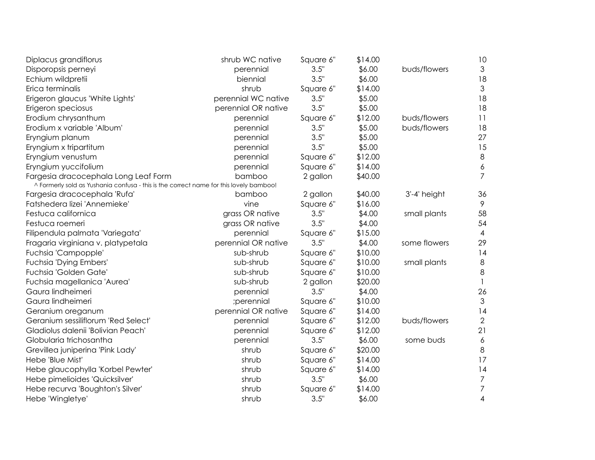| Diplacus grandiflorus                                                                  | shrub WC native     | Square 6" | \$14.00 |              | 10               |
|----------------------------------------------------------------------------------------|---------------------|-----------|---------|--------------|------------------|
| Disporopsis perneyi                                                                    | perennial           | 3.5"      | \$6.00  | buds/flowers | $\mathfrak{Z}$   |
| Echium wildpretii                                                                      | biennial            | 3.5"      | \$6.00  |              | 18               |
| Erica terminalis                                                                       | shrub               | Square 6" | \$14.00 |              | $\mathfrak{S}$   |
| Erigeron glaucus 'White Lights'                                                        | perennial WC native | 3.5"      | \$5.00  |              | 18               |
| Erigeron speciosus                                                                     | perennial OR native | 3.5"      | \$5.00  |              | 18               |
| Erodium chrysanthum                                                                    | perennial           | Square 6" | \$12.00 | buds/flowers | 11               |
| Erodium x variable 'Album'                                                             | perennial           | 3.5"      | \$5.00  | buds/flowers | 18               |
| Eryngium planum                                                                        | perennial           | 3.5"      | \$5.00  |              | 27               |
| Eryngium x tripartitum                                                                 | perennial           | 3.5"      | \$5.00  |              | 15               |
| Eryngium venustum                                                                      | perennial           | Square 6" | \$12.00 |              | $\,8\,$          |
| Eryngium yuccifolium                                                                   | perennial           | Square 6" | \$14.00 |              | $\boldsymbol{6}$ |
| Fargesia dracocephala Long Leaf Form                                                   | bamboo              | 2 gallon  | \$40.00 |              | $\overline{7}$   |
| ^ Formerly sold as Yushania confusa - this is the correct name for this lovely bamboo! |                     |           |         |              |                  |
| Fargesia dracocephala 'Rufa'                                                           | bamboo              | 2 gallon  | \$40.00 | 3'-4' height | 36               |
| Fatshedera lizei 'Annemieke'                                                           | vine                | Square 6" | \$16.00 |              | 9                |
| Festuca californica                                                                    | grass OR native     | 3.5"      | \$4.00  | small plants | 58               |
| Festuca roemeri                                                                        | grass OR native     | 3.5"      | \$4.00  |              | 54               |
| Filipendula palmata 'Variegata'                                                        | perennial           | Square 6" | \$15.00 |              | 4                |
| Fragaria virginiana v. platypetala                                                     | perennial OR native | 3.5"      | \$4.00  | some flowers | 29               |
| Fuchsia 'Campopple'                                                                    | sub-shrub           | Square 6" | \$10.00 |              | 14               |
| Fuchsia 'Dying Embers'                                                                 | sub-shrub           | Square 6" | \$10.00 | small plants | $\,8\,$          |
| Fuchsia 'Golden Gate'                                                                  | sub-shrub           | Square 6" | \$10.00 |              | 8                |
| Fuchsia magellanica 'Aurea'                                                            | sub-shrub           | 2 gallon  | \$20.00 |              | $\mathbf{1}$     |
| Gaura lindheimeri                                                                      | perennial           | 3.5"      | \$4.00  |              | 26               |
| Gaura lindheimeri                                                                      | ;perennial          | Square 6" | \$10.00 |              | 3                |
| Geranium oreganum                                                                      | perennial OR native | Square 6" | \$14.00 |              | 14               |
| Geranium sessiliflorum 'Red Select'                                                    | perennial           | Square 6" | \$12.00 | buds/flowers | $\mathbf{2}$     |
| Gladiolus dalenii 'Bolivian Peach'                                                     | perennial           | Square 6" | \$12.00 |              | 21               |
| Globularia trichosantha                                                                | perennial           | 3.5"      | \$6.00  | some buds    | 6                |
| Grevillea juniperina 'Pink Lady'                                                       | shrub               | Square 6" | \$20.00 |              | $\,8\,$          |
| Hebe 'Blue Mist'                                                                       | shrub               | Square 6" | \$14.00 |              | 17               |
| Hebe glaucophylla 'Korbel Pewter'                                                      | shrub               | Square 6" | \$14.00 |              | 14               |
| Hebe pimelioides 'Quicksilver'                                                         | shrub               | 3.5"      | \$6.00  |              | $\boldsymbol{7}$ |
| Hebe recurva 'Boughton's Silver'                                                       | shrub               | Square 6" | \$14.00 |              | $\overline{7}$   |
| Hebe 'Wingletye'                                                                       | shrub               | 3.5"      | \$6.00  |              | $\overline{4}$   |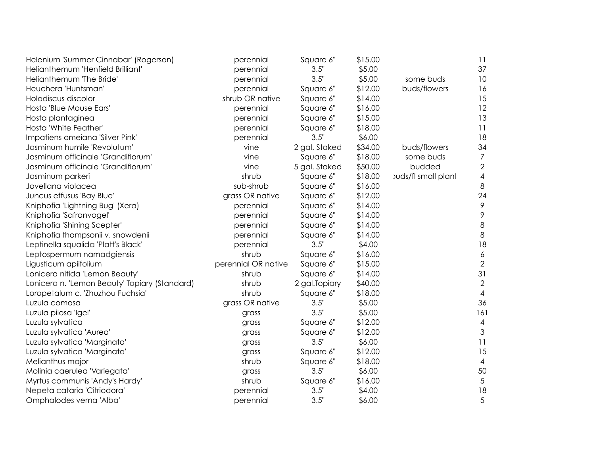| Helenium 'Summer Cinnabar' (Rogerson)         | perennial           | Square 6"      | \$15.00 |                            | 11                       |
|-----------------------------------------------|---------------------|----------------|---------|----------------------------|--------------------------|
| Helianthemum 'Henfield Brilliant'             | perennial           | 3.5"           | \$5.00  |                            | 37                       |
| Helianthemum 'The Bride'                      | perennial           | 3.5"           | \$5.00  | some buds                  | 10                       |
| Heuchera 'Huntsman'                           | perennial           | Square 6"      | \$12.00 | buds/flowers               | 16                       |
| Holodiscus discolor                           | shrub OR native     | Square 6"      | \$14.00 |                            | 15                       |
| Hosta 'Blue Mouse Ears'                       | perennial           | Square 6"      | \$16.00 |                            | 12                       |
| Hosta plantaginea                             | perennial           | Square 6"      | \$15.00 |                            | 13                       |
| Hosta 'White Feather'                         | perennial           | Square 6"      | \$18.00 |                            | 11                       |
| Impatiens omeiana 'Silver Pink'               | perennial           | 3.5"           | \$6.00  |                            | 18                       |
| Jasminum humile 'Revolutum'                   | vine                | 2 gal. Staked  | \$34.00 | buds/flowers               | 34                       |
| Jasminum officinale 'Grandiflorum'            | vine                | Square 6"      | \$18.00 | some buds                  | $\overline{7}$           |
| Jasminum officinale 'Grandiflorum'            | vine                | 5 gal. Staked  | \$50.00 | budded                     | $\overline{2}$           |
| Jasminum parkeri                              | shrub               | Square 6"      | \$18.00 | <b>ouds/fl small plant</b> | $\overline{\mathcal{A}}$ |
| Jovellana violacea                            | sub-shrub           | Square 6"      | \$16.00 |                            | $\,8\,$                  |
| Juncus effusus 'Bay Blue'                     | grass OR native     | Square 6"      | \$12.00 |                            | 24                       |
| Kniphofia 'Lightning Bug' (Xera)              | perennial           | Square 6"      | \$14.00 |                            | $\mathcal{P}$            |
| Kniphofia 'Safranvogel'                       | perennial           | Square 6"      | \$14.00 |                            | 9                        |
| Kniphofia 'Shining Scepter'                   | perennial           | Square 6"      | \$14.00 |                            | $\,8\,$                  |
| Kniphofia thompsonii v. snowdenii             | perennial           | Square 6"      | \$14.00 |                            | $\,8\,$                  |
| Leptinella squalida 'Platt's Black'           | perennial           | 3.5"           | \$4.00  |                            | 18                       |
| Leptospermum namadgiensis                     | shrub               | Square 6"      | \$16.00 |                            | $\boldsymbol{6}$         |
| Ligusticum apiifolium                         | perennial OR native | Square 6"      | \$15.00 |                            | $\mathbf{2}$             |
| Lonicera nitida 'Lemon Beauty'                | shrub               | Square 6"      | \$14.00 |                            | 31                       |
| Lonicera n. 'Lemon Beauty' Topiary (Standard) | shrub               | 2 gal. Topiary | \$40.00 |                            | $\mathbf{2}$             |
| Loropetalum c. 'Zhuzhou Fuchsia'              | shrub               | Square 6"      | \$18.00 |                            | $\overline{4}$           |
| Luzula comosa                                 | grass OR native     | 3.5"           | \$5.00  |                            | 36                       |
| Luzula pilosa 'Igel'                          | grass               | 3.5"           | \$5.00  |                            | 161                      |
| Luzula sylvatica                              | grass               | Square 6"      | \$12.00 |                            | $\overline{4}$           |
| Luzula sylvatica 'Aurea'                      | grass               | Square 6"      | \$12.00 |                            | 3                        |
| Luzula sylvatica 'Marginata'                  | grass               | 3.5"           | \$6.00  |                            | 11                       |
| Luzula sylvatica 'Marginata'                  | grass               | Square 6"      | \$12.00 |                            | 15                       |
| Melianthus major                              | shrub               | Square 6"      | \$18.00 |                            | $\overline{4}$           |
| Molinia caerulea 'Variegata'                  | grass               | 3.5"           | \$6.00  |                            | 50                       |
| Myrtus communis 'Andy's Hardy'                | shrub               | Square 6"      | \$16.00 |                            | 5                        |
| Nepeta cataria 'Citriodora'                   | perennial           | 3.5"           | \$4.00  |                            | 18                       |
| Omphalodes verna 'Alba'                       | perennial           | 3.5"           | \$6.00  |                            | 5                        |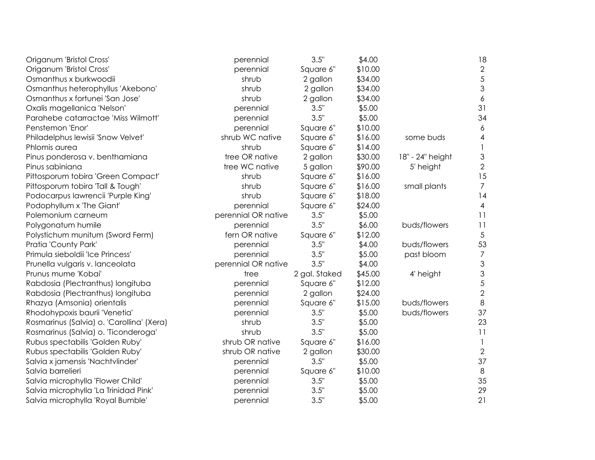| Origanum 'Bristol Cross'                  | perennial           | 3.5"          | \$4.00  |                  | 18                        |
|-------------------------------------------|---------------------|---------------|---------|------------------|---------------------------|
| Origanum 'Bristol Cross'                  | perennial           | Square 6"     | \$10.00 |                  | $\overline{2}$            |
| Osmanthus x burkwoodii                    | shrub               | 2 gallon      | \$34.00 |                  | 5                         |
| Osmanthus heterophyllus 'Akebono'         | shrub               | 2 gallon      | \$34.00 |                  | $\mathfrak{Z}$            |
| Osmanthus x fortunei 'San Jose'           | shrub               | 2 gallon      | \$34.00 |                  | $\boldsymbol{6}$          |
| Oxalis magellanica 'Nelson'               | perennial           | 3.5"          | \$5.00  |                  | 31                        |
| Parahebe catarractae 'Miss Wilmott'       | perennial           | 3.5"          | \$5.00  |                  | 34                        |
| Penstemon 'Enor'                          | perennial           | Square 6"     | \$10.00 |                  | 6                         |
| Philadelphus lewisii 'Snow Velvet'        | shrub WC native     | Square 6"     | \$16.00 | some buds        | $\overline{\mathcal{A}}$  |
| Phlomis aurea                             | shrub               | Square 6"     | \$14.00 |                  |                           |
| Pinus ponderosa v. benthamiana            | tree OR native      | 2 gallon      | \$30.00 | 18" - 24" height | $\ensuremath{\mathsf{3}}$ |
| Pinus sabiniana                           | tree WC native      | 5 gallon      | \$90.00 | 5' height        | $\overline{2}$            |
| Pittosporum tobira 'Green Compact'        | shrub               | Square 6"     | \$16.00 |                  | 15                        |
| Pittosporum tobira 'Tall & Tough'         | shrub               | Square 6"     | \$16.00 | small plants     | $\overline{7}$            |
| Podocarpus lawrencii 'Purple King'        | shrub               | Square 6"     | \$18.00 |                  | 14                        |
| Podophyllum x 'The Giant'                 | perennial           | Square 6"     | \$24.00 |                  | 4                         |
| Polemonium carneum                        | perennial OR native | 3.5"          | \$5.00  |                  | 11                        |
| Polygonatum humile                        | perennial           | 3.5"          | \$6.00  | buds/flowers     | 11                        |
| Polystichum munitum (Sword Ferm)          | fern OR native      | Square 6"     | \$12.00 |                  | $\sqrt{5}$                |
| Pratia 'County Park'                      | perennial           | 3.5"          | \$4.00  | buds/flowers     | 53                        |
| Primula sieboldii 'Ice Princess'          | perennial           | 3.5"          | \$5.00  | past bloom       | $\overline{7}$            |
| Prunella vulgaris v. lanceolata           | perennial OR native | 3.5"          | \$4.00  |                  | $\ensuremath{\mathsf{3}}$ |
| Prunus mume 'Kobai'                       | tree                | 2 gal. Staked | \$45.00 | 4' height        | $\mathfrak{S}$            |
| Rabdosia (Plectranthus) longituba         | perennial           | Square 6"     | \$12.00 |                  | $\sqrt{5}$                |
| Rabdosia (Plectranthus) longituba         | perennial           | 2 gallon      | \$24.00 |                  | $\overline{2}$            |
| Rhazya (Amsonia) orientalis               | perennial           | Square 6"     | \$15.00 | buds/flowers     | $\,8\,$                   |
| Rhodohypoxis baurii 'Venetia'             | perennial           | 3.5"          | \$5.00  | buds/flowers     | 37                        |
| Rosmarinus (Salvia) o. 'Carollina' (Xera) | shrub               | 3.5"          | \$5.00  |                  | 23                        |
| Rosmarinus (Salvia) o. 'Ticonderoga'      | shrub               | 3.5"          | \$5.00  |                  | 11                        |
| Rubus spectabilis 'Golden Ruby'           | shrub OR native     | Square 6"     | \$16.00 |                  | $\mathbf{1}$              |
| Rubus spectabilis 'Golden Ruby'           | shrub OR native     | 2 gallon      | \$30.00 |                  | $\overline{2}$            |
| Salvia x jamensis 'Nachtvlinder'          | perennial           | 3.5"          | \$5.00  |                  | 37                        |
| Salvia barrelieri                         | perennial           | Square 6"     | \$10.00 |                  | $\,8\,$                   |
| Salvia microphylla 'Flower Child'         | perennial           | 3.5"          | \$5.00  |                  | 35                        |
| Salvia microphylla 'La Trinidad Pink'     | perennial           | 3.5"          | \$5.00  |                  | 29                        |
| Salvia microphylla 'Royal Bumble'         | perennial           | 3.5"          | \$5.00  |                  | 21                        |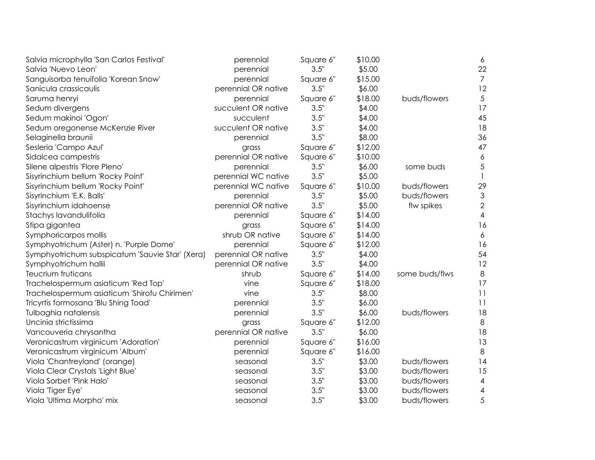| Salvia microphylla 'San Carlos Festival'        | perennial           | Square 6" | \$10.00 |                | 6              |
|-------------------------------------------------|---------------------|-----------|---------|----------------|----------------|
| Salvia 'Nuevo Leon'                             | perennial           | 3.5"      | \$5.00  |                | 22             |
| Sanguisorba tenuifolia 'Korean Snow'            | perennial           | Square 6" | \$15.00 |                | $\overline{7}$ |
| Sanicula crassicaulis                           | perennial OR native | 3.5"      | \$6.00  |                | 12             |
| Saruma henryi                                   | perennial           | Square 6" | \$18.00 | buds/flowers   | 5              |
| Sedum divergens                                 | succulent OR native | 3.5"      | \$4.00  |                | 17             |
| Sedum makinoi 'Ogon'                            | succulent           | 3.5"      | \$4.00  |                | 45             |
| Sedum oregonense McKenzie River                 | succulent OR native | 3.5"      | \$4.00  |                | 18             |
| Selaginella braunii                             | perennial           | 3.5"      | \$8.00  |                | 36             |
| Sesleria 'Campo Azul'                           | grass               | Square 6" | \$12.00 |                | 47             |
| Sidalcea campestris                             | perennial OR native | Square 6" | \$10.00 |                | 6              |
| Silene alpestris 'Flore Pleno'                  | perennial           | 3.5"      | \$6.00  | some buds      | 5              |
| Sisyrinchium bellum 'Rocky Point'               | perennial WC native | 3.5"      | \$5.00  |                |                |
| Sisyrinchium bellum 'Rocky Point'               | perennial WC native | Square 6" | \$10.00 | buds/flowers   | 29             |
| Sisyrinchium 'E.K. Balls'                       | perennial           | 3.5"      | \$5.00  | buds/flowers   | 3              |
| Sisyrinchium idahoense                          | perennial OR native | 3.5"      | \$5.00  | flw spikes     | $\mathbf{2}$   |
| Stachys lavandulifolia                          | perennial           | Square 6" | \$14.00 |                | 4              |
| Stipa gigantea                                  | grass               | Square 6" | \$14.00 |                | 16             |
| Symphoricarpos mollis                           | shrub OR native     | Square 6" | \$14.00 |                | 6              |
| Symphyotrichum (Aster) n. 'Purple Dome'         | perennial           | Square 6" | \$12.00 |                | 16             |
| Symphyotrichum subspicatum 'Sauvie Star' (Xera) | perennial OR native | 3.5"      | \$4.00  |                | 54             |
| Symphyotrichum hallii                           | perennial OR native | 3.5"      | \$4.00  |                | 12             |
| Teucrium fruticans                              | shrub               | Square 6" | \$14.00 | some buds/flws | $\,8\,$        |
| Trachelospermum asiaticum 'Red Top'             | vine                | Square 6" | \$18.00 |                | 17             |
| Trachelospermum asiaticum 'Shirofu Chirimen'    | vine                | 3.5"      | \$8.00  |                | 11             |
| Tricyrtis formosana 'Blu Shing Toad'            | perennial           | 3.5"      | \$6.00  |                | 11             |
| Tulbaghia natalensis                            | perennial           | 3.5"      | \$6.00  | buds/flowers   | 18             |
| Uncinia strictissima                            | grass               | Square 6" | \$12.00 |                | $\,8\,$        |
| Vancouveria chrysantha                          | perennial OR native | 3.5"      | \$6.00  |                | 18             |
| Veronicastrum virginicum 'Adoration'            | perennial           | Square 6" | \$16.00 |                | 13             |
| Veronicastrum virginicum 'Album'                | perennial           | Square 6" | \$16.00 |                | 8              |
| Viola 'Chantreyland' (orange)                   | seasonal            | 3.5"      | \$3.00  | buds/flowers   | 14             |
| Viola Clear Crystals 'Light Blue'               | seasonal            | 3.5"      | \$3.00  | buds/flowers   | 15             |
| Viola Sorbet 'Pink Halo'                        | seasonal            | 3.5"      | \$3.00  | buds/flowers   | 4              |
| Viola 'Tiger Eye'                               | seasonal            | 3.5"      | \$3.00  | buds/flowers   | 4              |
| Viola 'Ultima Morpho' mix                       | seasonal            | 3.5"      | \$3.00  | buds/flowers   | 5              |